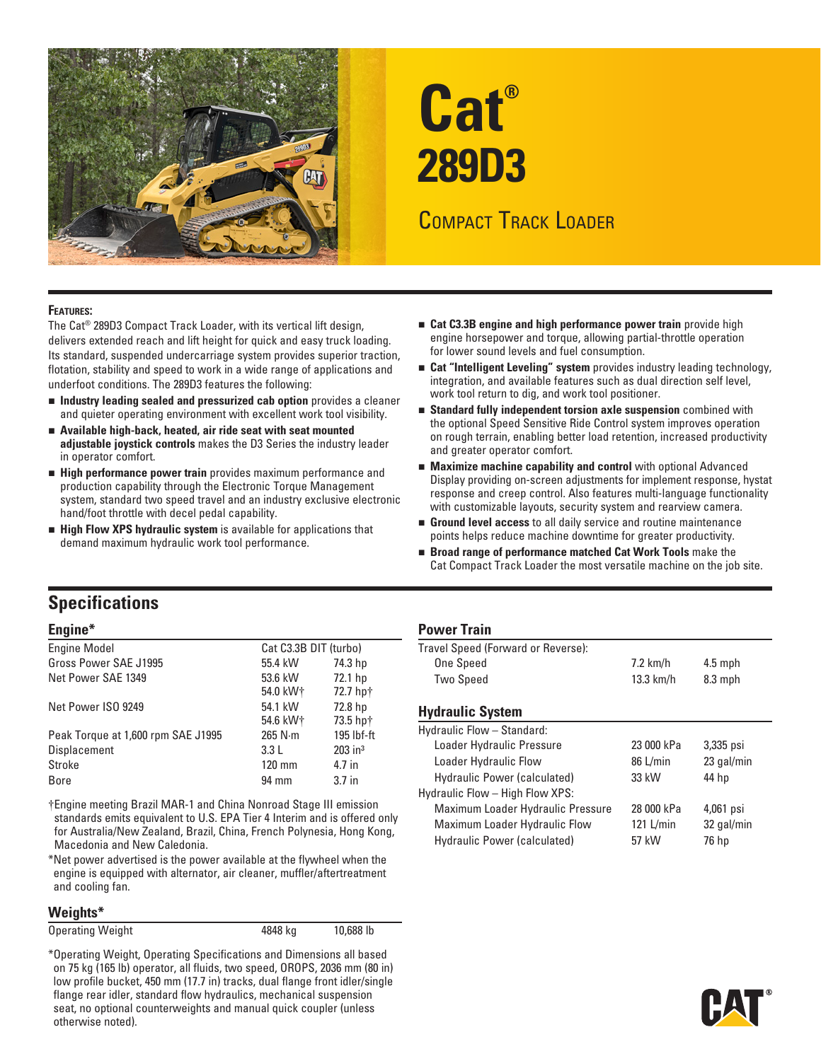

# **Cat® 289D3**

# Compact Track Loader

#### **Features:**

The Cat® 289D3 Compact Track Loader, with its vertical lift design, delivers extended reach and lift height for quick and easy truck loading. Its standard, suspended undercarriage system provides superior traction, flotation, stability and speed to work in a wide range of applications and underfoot conditions. The 289D3 features the following:

- **n** Industry leading sealed and pressurized cab option provides a cleaner and quieter operating environment with excellent work tool visibility.
- $\blacksquare$  Available high-back, heated, air ride seat with seat mounted **adjustable joystick controls** makes the D3 Series the industry leader in operator comfort.
- **High performance power train** provides maximum performance and production capability through the Electronic Torque Management system, standard two speed travel and an industry exclusive electronic hand/foot throttle with decel pedal capability.
- **High Flow XPS hydraulic system** is available for applications that demand maximum hydraulic work tool performance.
- **n** Cat C3.3B engine and high performance power train provide high engine horsepower and torque, allowing partial-throttle operation for lower sound levels and fuel consumption.
- **n** Cat "Intelligent Leveling" system provides industry leading technology, integration, and available features such as dual direction self level, work tool return to dig, and work tool positioner.
- **Example 1** Standard fully independent torsion axle suspension combined with the optional Speed Sensitive Ride Control system improves operation on rough terrain, enabling better load retention, increased productivity and greater operator comfort.
- **n** Maximize machine capability and control with optional Advanced Display providing on-screen adjustments for implement response, hystat response and creep control. Also features multi-language functionality with customizable layouts, security system and rearview camera.
- **Ground level access** to all daily service and routine maintenance points helps reduce machine downtime for greater productivity.
- **Example 3** Broad range of performance matched Cat Work Tools make the Cat Compact Track Loader the most versatile machine on the job site.

# **Specifications**

#### **Engine\***

| <b>Engine Model</b>                | Cat C3.3B DIT (turbo) |                       |
|------------------------------------|-----------------------|-----------------------|
| Gross Power SAE J1995              | 55.4 kW               | 74.3 hp               |
| Net Power SAE 1349                 | 53.6 kW               | 72.1 hp               |
|                                    | 54.0 kW+              | 72.7 hp+              |
| Net Power ISO 9249                 | 54.1 kW               | 72.8 hp               |
|                                    | 54.6 kW+              | 73.5 hp+              |
| Peak Torque at 1,600 rpm SAE J1995 | $265$ N $\cdot$ m     | 195 lbf-ft            |
| Displacement                       | 3.3L                  | $203$ in <sup>3</sup> |
| Stroke                             | $120 \text{ mm}$      | 4.7 in                |
| Bore                               | 94 mm                 | 3.7 <sub>in</sub>     |
|                                    |                       |                       |

†Engine meeting Brazil MAR-1 and China Nonroad Stage III emission standards emits equivalent to U.S. EPA Tier 4 Interim and is offered only for Australia/New Zealand, Brazil, China, French Polynesia, Hong Kong, Macedonia and New Caledonia.

\*Net power advertised is the power available at the flywheel when the engine is equipped with alternator, air cleaner, muffler/aftertreatment and cooling fan.

#### **Weights\***

Operating Weight **10,688 lb** 4848 kg 10,688 lb

\*Operating Weight, Operating Specifications and Dimensions all based on 75 kg (165 lb) operator, all fluids, two speed, OROPS, 2036 mm (80 in) low profile bucket, 450 mm (17.7 in) tracks, dual flange front idler/single flange rear idler, standard flow hydraulics, mechanical suspension seat, no optional counterweights and manual quick coupler (unless otherwise noted).

#### **Power Train**

| Travel Speed (Forward or Reverse): |             |           |  |
|------------------------------------|-------------|-----------|--|
| One Speed                          | $7.2$ km/h  | $4.5$ mph |  |
| Two Speed                          | $13.3$ km/h | $8.3$ mph |  |
|                                    |             |           |  |

#### **Hydraulic System**

| Hydraulic Flow - Standard:        |             |            |
|-----------------------------------|-------------|------------|
| Loader Hydraulic Pressure         | 23 000 kPa  | 3,335 psi  |
| Loader Hydraulic Flow             | 86 L/min    | 23 gal/min |
| Hydraulic Power (calculated)      | 33 kW       | 44 hp      |
| Hydraulic Flow - High Flow XPS:   |             |            |
| Maximum Loader Hydraulic Pressure | 28 000 kPa  | 4,061 psi  |
| Maximum Loader Hydraulic Flow     | $121$ L/min | 32 gal/min |
| Hydraulic Power (calculated)      | 57 kW       | 76 hp      |

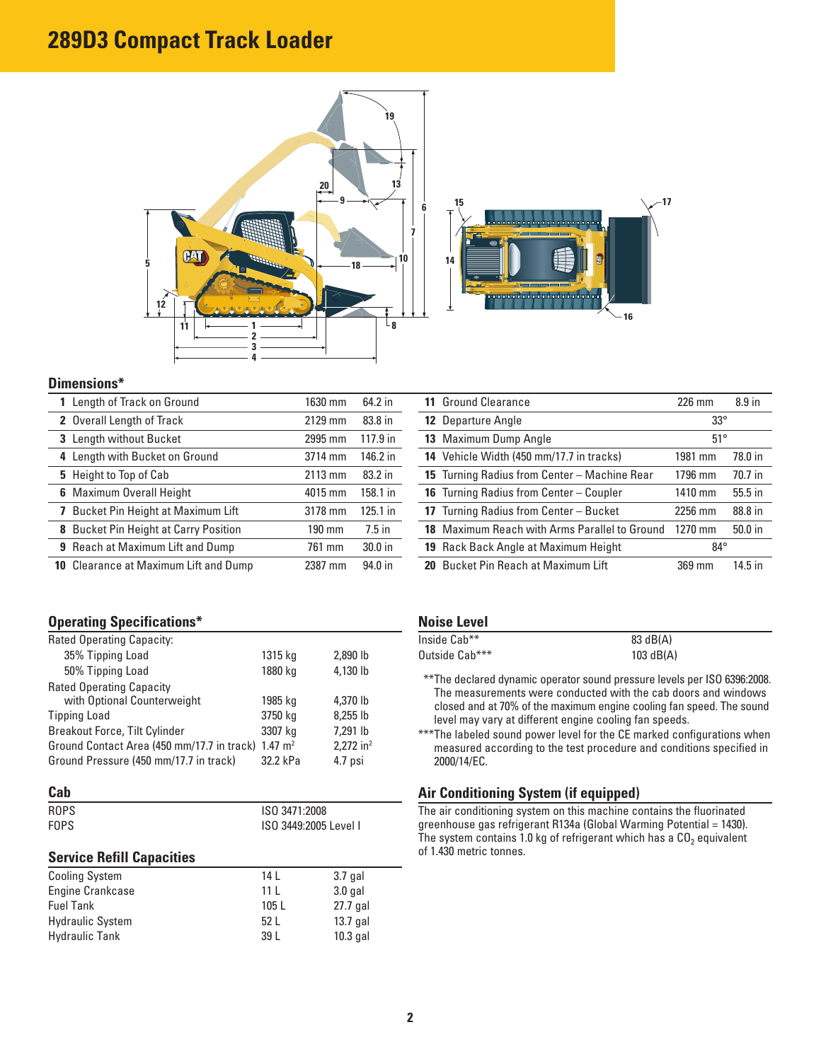# **289D3 Compact Track Loader**





#### **Dimensions\***

| 1 Length of Track on Ground                  | 1630 mm | 64.2 in   |
|----------------------------------------------|---------|-----------|
| 2 Overall Length of Track                    | 2129 mm | 83.8 in   |
| 3 Length without Bucket                      | 2995 mm | 117.9 in  |
| 4 Length with Bucket on Ground               | 3714 mm | 146.2 in  |
| 5 Height to Top of Cab                       | 2113 mm | 83.2 in   |
| <b>6</b> Maximum Overall Height              | 4015 mm | 158.1 in  |
| 7 Bucket Pin Height at Maximum Lift          | 3178 mm | 125.1 in  |
| <b>8</b> Bucket Pin Height at Carry Position | 190 mm  | $7.5$ in  |
| <b>9</b> Reach at Maximum Lift and Dump      | 761 mm  | $30.0$ in |
| <b>10</b> Clearance at Maximum Lift and Dump | 2387 mm | 94.0 in   |

### **Operating Specifications\***

| Rated Operating Capacity:                                      |          |                         |
|----------------------------------------------------------------|----------|-------------------------|
| 35% Tipping Load                                               | 1315 kg  | 2,890 lb                |
| 50% Tipping Load                                               | 1880 kg  | 4,130 lb                |
| <b>Rated Operating Capacity</b>                                |          |                         |
| with Optional Counterweight                                    | 1985 kg  | 4.370 lb                |
| <b>Tipping Load</b>                                            | 3750 kg  | 8.255 lb                |
| <b>Breakout Force, Tilt Cylinder</b>                           | 3307 kg  | 7,291 lb                |
| Ground Contact Area (450 mm/17.7 in track) 1.47 m <sup>2</sup> |          | $2,272$ in <sup>2</sup> |
| Ground Pressure (450 mm/17.7 in track)                         | 32.2 kPa | 4.7 psi                 |

#### **Cab**

| <b>ROPS</b> | ISO 3471:2008         |
|-------------|-----------------------|
| <b>FOPS</b> | ISO 3449:2005 Level I |

#### **Service Refill Capacities**

| <b>Cooling System</b>   | 14 I            | $3.7$ gal  |
|-------------------------|-----------------|------------|
| Engine Crankcase        | 11 <sup>1</sup> | $3.0$ gal  |
| <b>Fuel Tank</b>        | 105L            | 27.7 gal   |
| <b>Hydraulic System</b> | 52 L            | $13.7$ gal |
| <b>Hydraulic Tank</b>   | 39 L            | $10.3$ gal |

| <b>11 Ground Clearance</b>                    | $226$ mm     | 8.9 <sub>in</sub> |
|-----------------------------------------------|--------------|-------------------|
| <b>12</b> Departure Angle                     | $33^\circ$   |                   |
| 13 Maximum Dump Angle                         | $51^\circ$   |                   |
| 14 Vehicle Width (450 mm/17.7 in tracks)      | 1981 mm      | 78.0 in           |
| 15 Turning Radius from Center - Machine Rear  | 1796 mm      | 70.7 in           |
| 16 Turning Radius from Center - Coupler       | 1410 mm      | $55.5$ in         |
| 17 Turning Radius from Center - Bucket        | 2256 mm      | 88.8 in           |
| 18 Maximum Reach with Arms Parallel to Ground | 1270 mm      | $50.0$ in         |
| <b>19</b> Rack Back Angle at Maximum Height   | $84^{\circ}$ |                   |
| 20 Bucket Pin Reach at Maximum Lift           | 369 mm       | 14.5 in           |

#### **Noise Level**

| Inside Cab**   | 83 dB(A)    |
|----------------|-------------|
| Outside Cab*** | $103$ dB(A) |

- \*\*\*The declared dynamic operator sound pressure levels per ISO 6396:2008. The measurements were conducted with the cab doors and windows closed and at 70% of the maximum engine cooling fan speed. The sound level may vary at different engine cooling fan speeds.
- \*\*\*The labeled sound power level for the CE marked configurations when measured according to the test procedure and conditions specified in 2000/14/EC.

#### **Air Conditioning System (if equipped)**

The air conditioning system on this machine contains the fluorinated greenhouse gas refrigerant R134a (Global Warming Potential = 1430). The system contains 1.0 kg of refrigerant which has a  $CO<sub>2</sub>$  equivalent of 1.430 metric tonnes.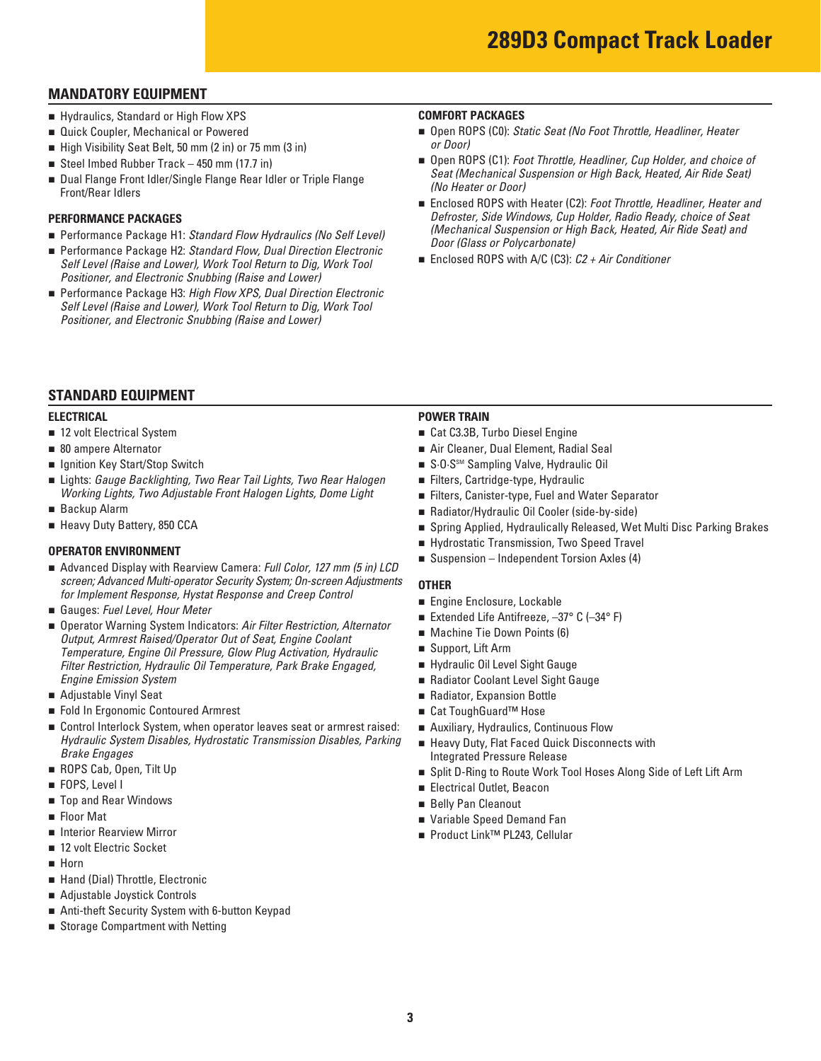## **MANDATORY EQUIPMENT**

- **F** Hydraulics, Standard or High Flow XPS
- <sup>n</sup>Quick Coupler, Mechanical or Powered
- High Visibility Seat Belt, 50 mm (2 in) or 75 mm (3 in)
- Steel Imbed Rubber Track 450 mm (17.7 in)
- Dual Flange Front Idler/Single Flange Rear Idler or Triple Flange Front/Rear Idlers

#### **PERFORMANCE PACKAGES**

- Performance Package H1: *Standard Flow Hydraulics (No Self Level)*
- Performance Package H2: *Standard Flow, Dual Direction Electronic Self Level (Raise and Lower), Work Tool Return to Dig, Work Tool Positioner, and Electronic Snubbing (Raise and Lower)*
- Performance Package H3: *High Flow XPS, Dual Direction Electronic Self Level (Raise and Lower), Work Tool Return to Dig, Work Tool Positioner, and Electronic Snubbing (Raise and Lower)*

#### **COMFORT PACKAGES**

- Open ROPS (C0): *Static Seat (No Foot Throttle, Headliner, Heater or Door)*
- Open ROPS (C1): *Foot Throttle, Headliner, Cup Holder, and choice of Seat (Mechanical Suspension or High Back, Heated, Air Ride Seat) (No Heater or Door)*
- Enclosed ROPS with Heater (C2): *Foot Throttle, Headliner, Heater and Defroster, Side Windows, Cup Holder, Radio Ready, choice of Seat (Mechanical Suspension or High Back, Heated, Air Ride Seat) and Door (Glass or Polycarbonate)*
- Enclosed ROPS with A/C (C3): *C2 + Air Conditioner*

#### **STANDARD EQUIPMENT**

#### **ELECTRICAL**

- 12 volt Electrical System
- 80 ampere Alternator
- Ignition Key Start/Stop Switch
- Lights: Gauge Backlighting, Two Rear Tail Lights, Two Rear Halogen *Working Lights, Two Adjustable Front Halogen Lights, Dome Light*
- <sup>n</sup>Backup Alarm
- **E** Heavy Duty Battery, 850 CCA

#### **OPERATOR ENVIRONMENT**

- Advanced Display with Rearview Camera: *Full Color, 127 mm (5 in) LCD screen; Advanced Multi-operator Security System; On-screen Adjustments for Implement Response, Hystat Response and Creep Control*
- Gauges: Fuel Level, Hour Meter
- Operator Warning System Indicators: Air Filter Restriction, Alternator *Output, Armrest Raised/Operator Out of Seat, Engine Coolant Temperature, Engine Oil Pressure, Glow Plug Activation, Hydraulic Filter Restriction, Hydraulic Oil Temperature, Park Brake Engaged, Engine Emission System*
- <sup>n</sup>Adjustable Vinyl Seat
- <sup>n</sup>Fold In Ergonomic Contoured Armrest
- Control Interlock System, when operator leaves seat or armrest raised: *Hydraulic System Disables, Hydrostatic Transmission Disables, Parking Brake Engages*
- <sup>n</sup>ROPS Cab, Open, Tilt Up
- <sup>n</sup>FOPS, Level I
- Top and Rear Windows
- <sup>n</sup>Floor Mat
- **n** Interior Rearview Mirror
- <sup>n</sup>12 volt Electric Socket
- <sup>n</sup>Horn
- Hand (Dial) Throttle, Electronic
- Adiustable Joystick Controls
- Anti-theft Security System with 6-button Keypad
- Storage Compartment with Netting

#### **POWER TRAIN**

- Cat C3.3B, Turbo Diesel Engine
- <sup>n</sup>Air Cleaner, Dual Element, Radial Seal
- S·O·S<sup>sM</sup> Sampling Valve, Hydraulic Oil
- <sup>n</sup>Filters, Cartridge-type, Hydraulic
- <sup>n</sup>Filters, Canister-type, Fuel and Water Separator
- Radiator/Hydraulic Oil Cooler (side-by-side)
- Spring Applied, Hydraulically Released, Wet Multi Disc Parking Brakes
- <sup>n</sup>Hydrostatic Transmission, Two Speed Travel
- Suspension Independent Torsion Axles (4)

#### **OTHER**

- Engine Enclosure, Lockable
- Extended Life Antifreeze, -37° C (-34° F)
- Machine Tie Down Points (6)
- <sup>n</sup>Support, Lift Arm
- <sup>n</sup>Hydraulic Oil Level Sight Gauge
- <sup>n</sup>Radiator Coolant Level Sight Gauge
- Radiator, Expansion Bottle
- Cat ToughGuard<sup>™</sup> Hose
- **n** Auxiliary, Hydraulics, Continuous Flow
- Heavy Duty, Flat Faced Quick Disconnects with Integrated Pressure Release
- <sup>n</sup>Split D-Ring to Route Work Tool Hoses Along Side of Left Lift Arm
- <sup>n</sup>Electrical Outlet, Beacon
- <sup>n</sup>Belly Pan Cleanout
- n Variable Speed Demand Fan
- Product Link™ PL243, Cellular